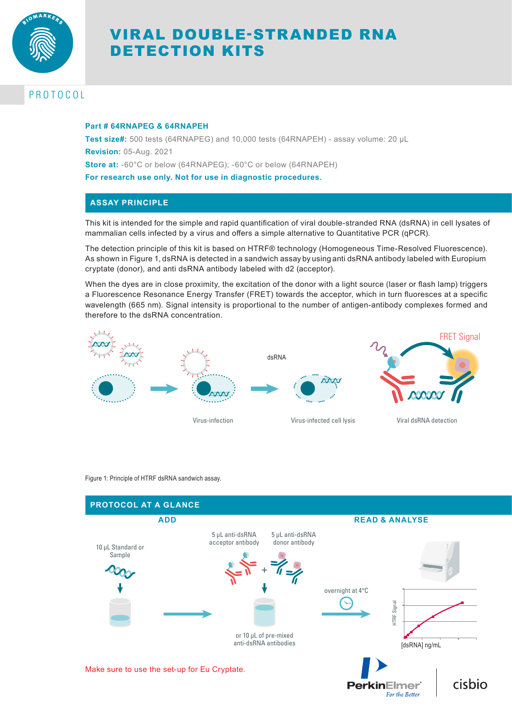

# VIRAL DOUBLE-STRANDED RNA DETECTION KITS

# PROTOCOL

#### **Part # 64RNAPEG & 64RNAPEH**

**Test size#:** 500 tests (64RNAPEG) and 10,000 tests (64RNAPEH) - assay volume: 20 µL **Revision:** 05-Aug. 2021 **Store at:** -60°C or below (64RNAPEG); -60°C or below (64RNAPEH) **For research use only. Not for use in diagnostic procedures.**

# **ASSAY PRINCIPLE**

This kit is intended for the simple and rapid quantification of viral double-stranded RNA (dsRNA) in cell lysates of mammalian cells infected by a virus and offers a simple alternative to Quantitative PCR (qPCR).

The detection principle of this kit is based on HTRF® technology (Homogeneous Time-Resolved Fluorescence). As shown in Figure 1, dsRNA is detected in a sandwich assay by using anti dsRNA antibody labeled with Europium cryptate (donor), and anti dsRNA antibody labeled with d2 (acceptor).

When the dyes are in close proximity, the excitation of the donor with a light source (laser or flash lamp) triggers a Fluorescence Resonance Energy Transfer (FRET) towards the acceptor, which in turn fluoresces at a specific wavelength (665 nm). Signal intensity is proportional to the number of antigen-antibody complexes formed and therefore to the dsRNA concentration.



Figure 1: Principle of HTRF dsRNA sandwich assay.

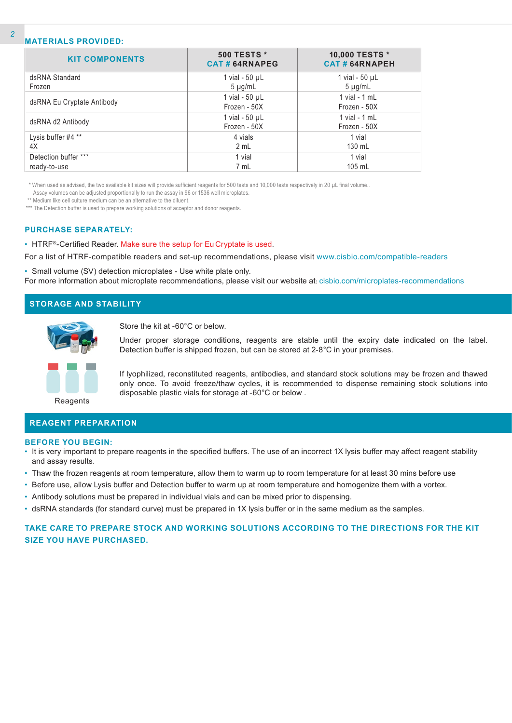#### **MATERIALS PROVIDED:**

| <b>KIT COMPONENTS</b>      | <b>500 TESTS *</b><br><b>CAT#64RNAPEG</b> | 10,000 TESTS *<br><b>CAT#64RNAPEH</b> |
|----------------------------|-------------------------------------------|---------------------------------------|
| dsRNA Standard             | 1 vial - $50 \mu L$                       | 1 vial - $50 \mu L$                   |
| Frozen                     | $5 \mu g/mL$                              | $5 \mu g/mL$                          |
|                            | 1 vial - $50$ $\mu$ L                     | $1$ vial - $1$ mL                     |
| dsRNA Eu Cryptate Antibody | Frozen - 50X                              | Frozen - 50X                          |
| dsRNA d2 Antibody          | 1 vial - $50 \mu L$                       | 1 vial - $1$ mL                       |
|                            | Frozen - 50X                              | Frozen - 50X                          |
| Lysis buffer #4 **         | 4 vials                                   | 1 vial                                |
| 4X                         | 2 mL                                      | 130 mL                                |
| Detection buffer ***       | 1 vial                                    | 1 vial                                |
| ready-to-use               | 7 mL                                      | 105 mL                                |

\* When used as advised, the two available kit sizes will provide sufficient reagents for 500 tests and 10,000 tests respectively in 20 µL final volume..

Assay volumes can be adjusted proportionally to run the assay in 96 or 1536 well microplates.

\*\* Medium like cell culture medium can be an alternative to the diluent.

\*\*\* The Detection buffer is used to prepare working solutions of acceptor and donor reagents.

#### **PURCHASE SEPARATELY:**

• HTRF®-Certified Reader. Make sure the setup for Eu Cryptate is used.

For a list of HTRF-compatible readers and set-up recommendations, please visit www.cisbio.com/compatible-readers

• Small volume (SV) detection microplates - Use white plate only. For more information about microplate recommendations, please visit our website at: cisbio.com/microplates-recommendations

# **STORAGE AND STABILITY**



Store the kit at -60°C or below.

Under proper storage conditions, reagents are stable until the expiry date indicated on the label. Detection buffer is shipped frozen, but can be stored at 2-8°C in your premises.



If lyophilized, reconstituted reagents, antibodies, and standard stock solutions may be frozen and thawed only once. To avoid freeze/thaw cycles, it is recommended to dispense remaining stock solutions into disposable plastic vials for storage at -60°C or below .

Reagents

## **REAGENT PREPARATION**

#### **BEFORE YOU BEGIN:**

- It is very important to prepare reagents in the specified buffers. The use of an incorrect 1X lysis buffer may affect reagent stability and assay results.
- Thaw the frozen reagents at room temperature, allow them to warm up to room temperature for at least 30 mins before use
- Before use, allow Lysis buffer and Detection buffer to warm up at room temperature and homogenize them with a vortex.
- Antibody solutions must be prepared in individual vials and can be mixed prior to dispensing.
- dsRNA standards (for standard curve) must be prepared in 1X lysis buffer or in the same medium as the samples.

# **TAKE CARE TO PREPARE STOCK AND WORKING SOLUTIONS ACCORDING TO THE DIRECTIONS FOR THE KIT SIZE YOU HAVE PURCHASED.**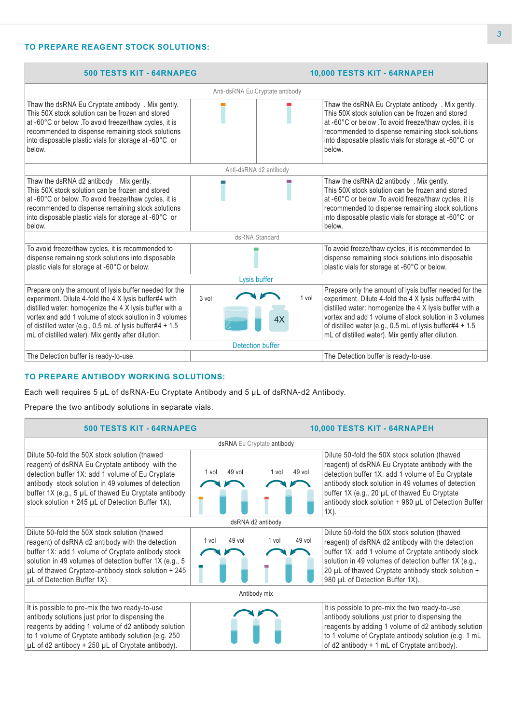# **TO PREPARE REAGENT STOCK SOLUTIONS:**

| <b>500 TESTS KIT - 64RNAPEG</b>                                                                                                                                                                                                                                                                                                                        |                        | 10,000 TESTS KIT - 64RNAPEH |                                                                                                                                                                                                                                                                                                                                                        |  |  |
|--------------------------------------------------------------------------------------------------------------------------------------------------------------------------------------------------------------------------------------------------------------------------------------------------------------------------------------------------------|------------------------|-----------------------------|--------------------------------------------------------------------------------------------------------------------------------------------------------------------------------------------------------------------------------------------------------------------------------------------------------------------------------------------------------|--|--|
| Anti-dsRNA Eu Cryptate antibody                                                                                                                                                                                                                                                                                                                        |                        |                             |                                                                                                                                                                                                                                                                                                                                                        |  |  |
| Thaw the dsRNA Eu Cryptate antibody. Mix gently.<br>This 50X stock solution can be frozen and stored<br>at -60°C or below . To avoid freeze/thaw cycles, it is<br>recommended to dispense remaining stock solutions<br>into disposable plastic vials for storage at -60°C or<br>below.                                                                 |                        |                             | Thaw the dsRNA Eu Cryptate antibody. Mix gently.<br>This 50X stock solution can be frozen and stored<br>at -60°C or below . To avoid freeze/thaw cycles, it is<br>recommended to dispense remaining stock solutions<br>into disposable plastic vials for storage at -60°C or<br>below.                                                                 |  |  |
|                                                                                                                                                                                                                                                                                                                                                        | Anti-dsRNA d2 antibody |                             |                                                                                                                                                                                                                                                                                                                                                        |  |  |
| Thaw the dsRNA d2 antibody . Mix gently.<br>This 50X stock solution can be frozen and stored<br>at -60°C or below .To avoid freeze/thaw cycles, it is<br>recommended to dispense remaining stock solutions<br>into disposable plastic vials for storage at -60°C or<br>below.                                                                          |                        |                             | Thaw the dsRNA d2 antibody . Mix gently.<br>This 50X stock solution can be frozen and stored<br>at -60°C or below .To avoid freeze/thaw cycles, it is<br>recommended to dispense remaining stock solutions<br>into disposable plastic vials for storage at -60°C or<br>below.                                                                          |  |  |
| dsRNA Standard                                                                                                                                                                                                                                                                                                                                         |                        |                             |                                                                                                                                                                                                                                                                                                                                                        |  |  |
| To avoid freeze/thaw cycles, it is recommended to<br>dispense remaining stock solutions into disposable<br>plastic vials for storage at -60°C or below.                                                                                                                                                                                                |                        |                             | To avoid freeze/thaw cycles, it is recommended to<br>dispense remaining stock solutions into disposable<br>plastic vials for storage at -60°C or below.                                                                                                                                                                                                |  |  |
| Lysis buffer                                                                                                                                                                                                                                                                                                                                           |                        |                             |                                                                                                                                                                                                                                                                                                                                                        |  |  |
| Prepare only the amount of lysis buffer needed for the<br>experiment. Dilute 4-fold the 4 X lysis buffer#4 with<br>distilled water: homogenize the 4 X lysis buffer with a<br>vortex and add 1 volume of stock solution in 3 volumes<br>of distilled water (e.g., 0.5 mL of lysis buffer#4 + 1.5<br>mL of distilled water). Mix gently after dilution. | 3 vol                  | 1 vol                       | Prepare only the amount of lysis buffer needed for the<br>experiment. Dilute 4-fold the 4 X lysis buffer#4 with<br>distilled water: homogenize the 4 X lysis buffer with a<br>vortex and add 1 volume of stock solution in 3 volumes<br>of distilled water (e.g., 0.5 mL of lysis buffer#4 + 1.5<br>mL of distilled water). Mix gently after dilution. |  |  |
| <b>Detection buffer</b>                                                                                                                                                                                                                                                                                                                                |                        |                             |                                                                                                                                                                                                                                                                                                                                                        |  |  |
| The Detection buffer is ready-to-use.                                                                                                                                                                                                                                                                                                                  |                        |                             | The Detection buffer is ready-to-use.                                                                                                                                                                                                                                                                                                                  |  |  |

#### **TO PREPARE ANTIBODY WORKING SOLUTIONS:**

Each well requires 5 µL of dsRNA-Eu Cryptate Antibody and 5 µL of dsRNA-d2 Antibody.

Prepare the two antibody solutions in separate vials.

#### **500 TESTS KIT - 64RNAPEG 10,000 TESTS KIT - 64RNAPEH** dsRNA Eu Cryptate antibody Dilute 50-fold the 50X stock solution (thawed reagent) of dsRNA Eu Cryptate antibody with the detection buffer 1X: add 1 volume of Eu Cryptate antibody stock solution in 49 volumes of detection buffer 1X (e.g., 5 µL of thawed Eu Cryptate antibody stock solution + 245 µL of Detection Buffer 1X). 1 vol 49 vol 1 vol 49 vol Dilute 50-fold the 50X stock solution (thawed reagent) of dsRNA Eu Cryptate antibody with the detection buffer 1X: add 1 volume of Eu Cryptate antibody stock solution in 49 volumes of detection buffer 1X (e.g., 20 µL of thawed Eu Cryptate antibody stock solution + 980 µL of Detection Buffer 1X). dsRNA d2 antibody Dilute 50-fold the 50X stock solution (thawed reagent) of dsRNA d2 antibody with the detection buffer 1X: add 1 volume of Cryptate antibody stock solution in 49 volumes of detection buffer 1X (e.g., 5 µL of thawed Cryptate-antibody stock solution + 245 µL of Detection Buffer 1X). 1 vol 49 vol 1 vol 49 vol Dilute 50-fold the 50X stock solution (thawed reagent) of dsRNA d2 antibody with the detection buffer 1X: add 1 volume of Cryptate antibody stock solution in 49 volumes of detection buffer 1X (e.g., 20 µL of thawed Cryptate antibody stock solution + 980 µL of Detection Buffer 1X). Antibody mix It is possible to pre-mix the two ready-to-use antibody solutions just prior to dispensing the reagents by adding 1 volume of d2 antibody solution to 1 volume of Cryptate antibody solution (e.g. 250 µL of d2 antibody + 250 µL of Cryptate antibody). It is possible to pre-mix the two ready-to-use antibody solutions just prior to dispensing the reagents by adding 1 volume of d2 antibody solution to 1 volume of Cryptate antibody solution (e.g. 1 mL of d2 antibody + 1 mL of Cryptate antibody).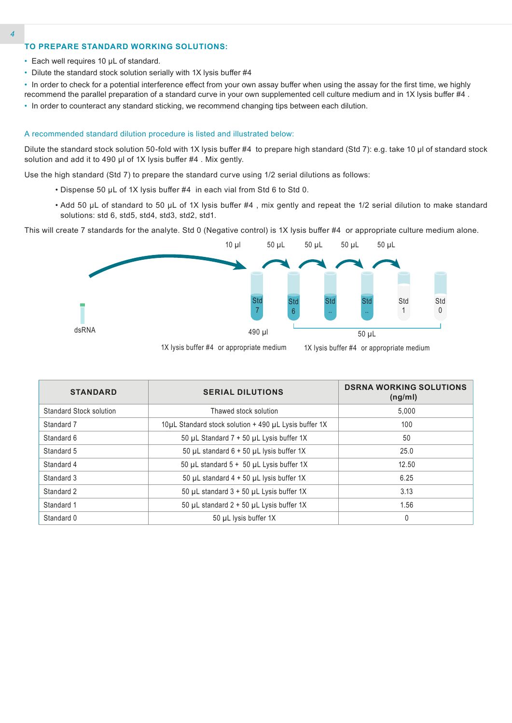# **TO PREPARE STANDARD WORKING SOLUTIONS:**

- Each well requires 10 µL of standard.
- Dilute the standard stock solution serially with 1X lysis buffer #4
- In order to check for a potential interference effect from your own assay buffer when using the assay for the first time, we highly recommend the parallel preparation of a standard curve in your own supplemented cell culture medium and in 1X lysis buffer #4 .
- In order to counteract any standard sticking, we recommend changing tips between each dilution.

#### A recommended standard dilution procedure is listed and illustrated below:

Dilute the standard stock solution 50-fold with 1X lysis buffer #4 to prepare high standard (Std 7): e.g. take 10 µl of standard stock solution and add it to 490 µl of 1X lysis buffer #4. Mix gently.

Use the high standard (Std 7) to prepare the standard curve using 1/2 serial dilutions as follows:

- Dispense 50 µL of 1X lysis buffer #4 in each vial from Std 6 to Std 0.
- Add 50 µL of standard to 50 µL of 1X lysis buffer #4 , mix gently and repeat the 1/2 serial dilution to make standard solutions: std 6, std5, std4, std3, std2, std1.

This will create 7 standards for the analyte. Std 0 (Negative control) is 1X lysis buffer #4 or appropriate culture medium alone.



| <b>STANDARD</b>                | <b>SERIAL DILUTIONS</b>                               | <b>DSRNA WORKING SOLUTIONS</b><br>(ng/ml) |  |
|--------------------------------|-------------------------------------------------------|-------------------------------------------|--|
| <b>Standard Stock solution</b> | Thawed stock solution                                 | 5.000                                     |  |
| Standard 7                     | 10µL Standard stock solution + 490 µL Lysis buffer 1X | 100                                       |  |
| Standard 6                     | 50 µL Standard 7 + 50 µL Lysis buffer 1X              | 50                                        |  |
| Standard 5                     | 50 µL standard $6 + 50$ µL lysis buffer 1X            | 25.0                                      |  |
| Standard 4                     | 50 µL standard 5 + 50 µL Lysis buffer 1X              | 12.50                                     |  |
| Standard 3                     | 50 µL standard $4 + 50$ µL lysis buffer 1X            | 6.25                                      |  |
| Standard 2                     | 50 µL standard $3 + 50$ µL Lysis buffer 1X            | 3.13                                      |  |
| Standard 1                     | 50 µL standard $2 + 50$ µL Lysis buffer 1X            | 1.56                                      |  |
| Standard 0                     | 50 µL lysis buffer 1X                                 | 0                                         |  |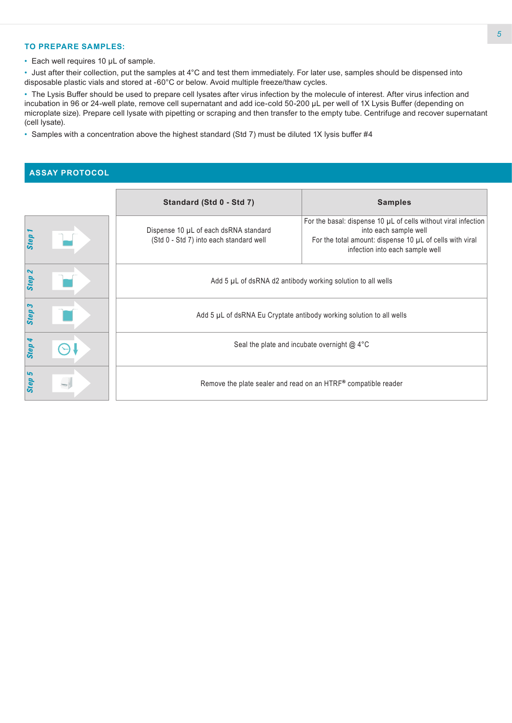#### **TO PREPARE SAMPLES:**

• Each well requires 10 µL of sample.

• Just after their collection, put the samples at 4°C and test them immediately. For later use, samples should be dispensed into disposable plastic vials and stored at -60°C or below. Avoid multiple freeze/thaw cycles.

• The Lysis Buffer should be used to prepare cell lysates after virus infection by the molecule of interest. After virus infection and incubation in 96 or 24-well plate, remove cell supernatant and add ice-cold 50-200 μL per well of 1X Lysis Buffer (depending on microplate size). Prepare cell lysate with pipetting or scraping and then transfer to the empty tube. Centrifuge and recover supernatant (cell lysate).

• Samples with a concentration above the highest standard (Std 7) must be diluted 1X lysis buffer #4

# **ASSAY PROTOCOL**

|                   | Standard (Std 0 - Std 7)                                                         | <b>Samples</b>                                                                                                                                                                              |  |  |  |
|-------------------|----------------------------------------------------------------------------------|---------------------------------------------------------------------------------------------------------------------------------------------------------------------------------------------|--|--|--|
| Step              | Dispense 10 µL of each dsRNA standard<br>(Std 0 - Std 7) into each standard well | For the basal: dispense 10 $\mu$ L of cells without viral infection<br>into each sample well<br>For the total amount: dispense 10 µL of cells with viral<br>infection into each sample well |  |  |  |
| Step <sub>2</sub> | Add 5 µL of dsRNA d2 antibody working solution to all wells                      |                                                                                                                                                                                             |  |  |  |
| Step 3            | Add 5 µL of dsRNA Eu Cryptate antibody working solution to all wells             |                                                                                                                                                                                             |  |  |  |
| Step 4            | Seal the plate and incubate overnight $@$ 4°C                                    |                                                                                                                                                                                             |  |  |  |
| Step 5            | Remove the plate sealer and read on an HTRF® compatible reader                   |                                                                                                                                                                                             |  |  |  |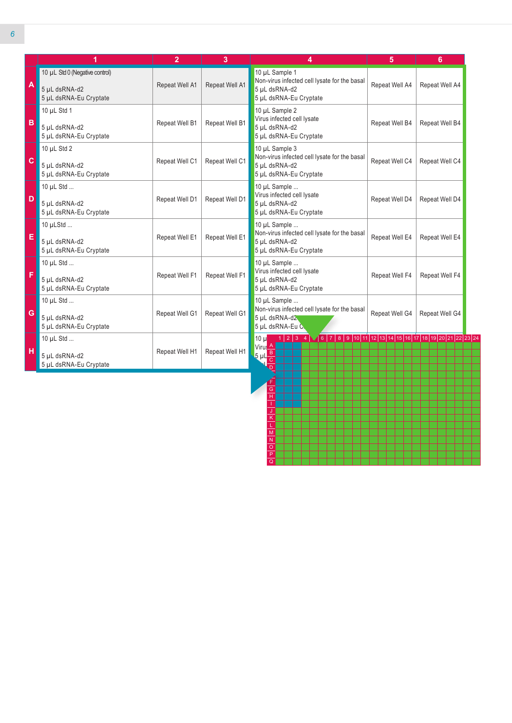|                           | 1                                                                         | $\overline{2}$ | 3              | 4                                                                                                                                                                          | 5              | 6              |
|---------------------------|---------------------------------------------------------------------------|----------------|----------------|----------------------------------------------------------------------------------------------------------------------------------------------------------------------------|----------------|----------------|
| $\boldsymbol{\mathsf{A}}$ | 10 µL Std 0 (Negative control)<br>5 µL dsRNA-d2<br>5 µL dsRNA-Eu Cryptate | Repeat Well A1 | Repeat Well A1 | 10 µL Sample 1<br>Non-virus infected cell lysate for the basal<br>5 µL dsRNA-d2<br>5 µL dsRNA-Eu Cryptate                                                                  | Repeat Well A4 | Repeat Well A4 |
| $\overline{B}$            | 10 $\mu$ L Std 1<br>5 µL dsRNA-d2<br>5 µL dsRNA-Eu Cryptate               | Repeat Well B1 | Repeat Well B1 | 10 µL Sample 2<br>Virus infected cell lysate<br>5 µL dsRNA-d2<br>5 µL dsRNA-Eu Cryptate                                                                                    | Repeat Well B4 | Repeat Well B4 |
| $\mathbf{C}$              | 10 $\mu$ L Std 2<br>5 µL dsRNA-d2<br>5 µL dsRNA-Eu Cryptate               | Repeat Well C1 | Repeat Well C1 | 10 µL Sample 3<br>Non-virus infected cell lysate for the basal<br>5 µL dsRNA-d2<br>5 µL dsRNA-Eu Cryptate                                                                  | Repeat Well C4 | Repeat Well C4 |
| D                         | 10 µL Std<br>5 µL dsRNA-d2<br>5 µL dsRNA-Eu Cryptate                      | Repeat Well D1 | Repeat Well D1 | 10 µL Sample<br>Virus infected cell lysate<br>5 µL dsRNA-d2<br>5 µL dsRNA-Eu Cryptate                                                                                      | Repeat Well D4 | Repeat Well D4 |
| E                         | 10 µLStd<br>5 uL dsRNA-d2<br>5 µL dsRNA-Eu Cryptate                       | Repeat Well E1 | Repeat Well E1 | 10 µL Sample<br>Non-virus infected cell lysate for the basal<br>5 uL dsRNA-d2<br>5 µL dsRNA-Eu Cryptate                                                                    | Repeat Well E4 | Repeat Well E4 |
| F                         | 10 $\mu$ L Std<br>5 µL dsRNA-d2<br>5 µL dsRNA-Eu Cryptate                 | Repeat Well F1 | Repeat Well F1 | 10 µL Sample<br>Virus infected cell lysate<br>5 µL dsRNA-d2<br>5 µL dsRNA-Eu Cryptate                                                                                      | Repeat Well F4 | Repeat Well F4 |
| G                         | 10 µL Std<br>5 µL dsRNA-d2<br>5 µL dsRNA-Eu Cryptate                      | Repeat Well G1 | Repeat Well G1 | 10 µL Sample<br>Non-virus infected cell lysate for the basal<br>5 µL dsRNA-d2<br>5 µL dsRNA-Eu C                                                                           | Repeat Well G4 | Repeat Well G4 |
| H                         | 10 µL Std<br>5 µL dsRNA-d2<br>5 µL dsRNA-Eu Cryptate                      | Repeat Well H1 | Repeat Well H1 | $1 2 3$ 4 $\sqrt{6 7 8 9 10 11 12 13 14 15 16 17 18 19 20 21 22 23 24}$<br>10 ul<br>Virus <sup>A</sup><br>$\frac{5 \text{ }\mathrm{m}\frac{\text{B}}{\text{C}}}{\text{h}}$ |                |                |

G H I J K L M N O P Q